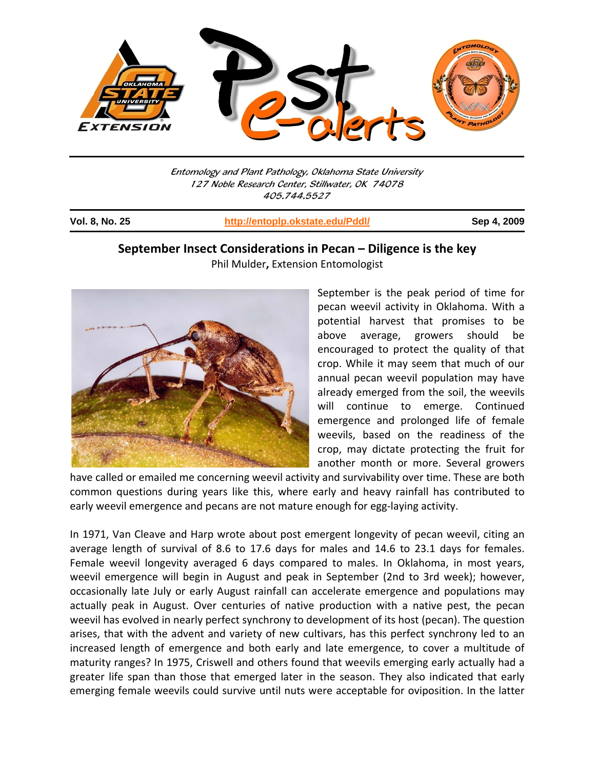

Entomology and Plant Pathology, Oklahoma State University 127 Noble Research Center, Stillwater, OK 74078 405.744.5527

j

**Vol. 8, No. 25 http://entoplp.okstate.edu/Pddl/ Sep 4, 2009**

## **September Insect Considerations in Pecan – Diligence is the key**

Phil Mulder**,** Extension Entomologist



September is the peak period of time for pecan weevil activity in Oklahoma. With a potential harvest that promises to be above average, growers should be encouraged to protect the quality of that crop. While it may seem that much of our annual pecan weevil population may have already emerged from the soil, the weevils will continue to emerge. Continued emergence and prolonged life of female weevils, based on the readiness of the crop, may dictate protecting the fruit for another month or more. Several growers

have called or emailed me concerning weevil activity and survivability over time. These are both common questions during years like this, where early and heavy rainfall has contributed to early weevil emergence and pecans are not mature enough for egg-laying activity.

In 1971, Van Cleave and Harp wrote about post emergent longevity of pecan weevil, citing an average length of survival of 8.6 to 17.6 days for males and 14.6 to 23.1 days for females. Female weevil longevity averaged 6 days compared to males. In Oklahoma, in most years, weevil emergence will begin in August and peak in September (2nd to 3rd week); however, occasionally late July or early August rainfall can accelerate emergence and populations may actually peak in August. Over centuries of native production with a native pest, the pecan weevil has evolved in nearly perfect synchrony to development of its host (pecan). The question arises, that with the advent and variety of new cultivars, has this perfect synchrony led to an increased length of emergence and both early and late emergence, to cover a multitude of maturity ranges? In 1975, Criswell and others found that weevils emerging early actually had a greater life span than those that emerged later in the season. They also indicated that early emerging female weevils could survive until nuts were acceptable for oviposition. In the latter